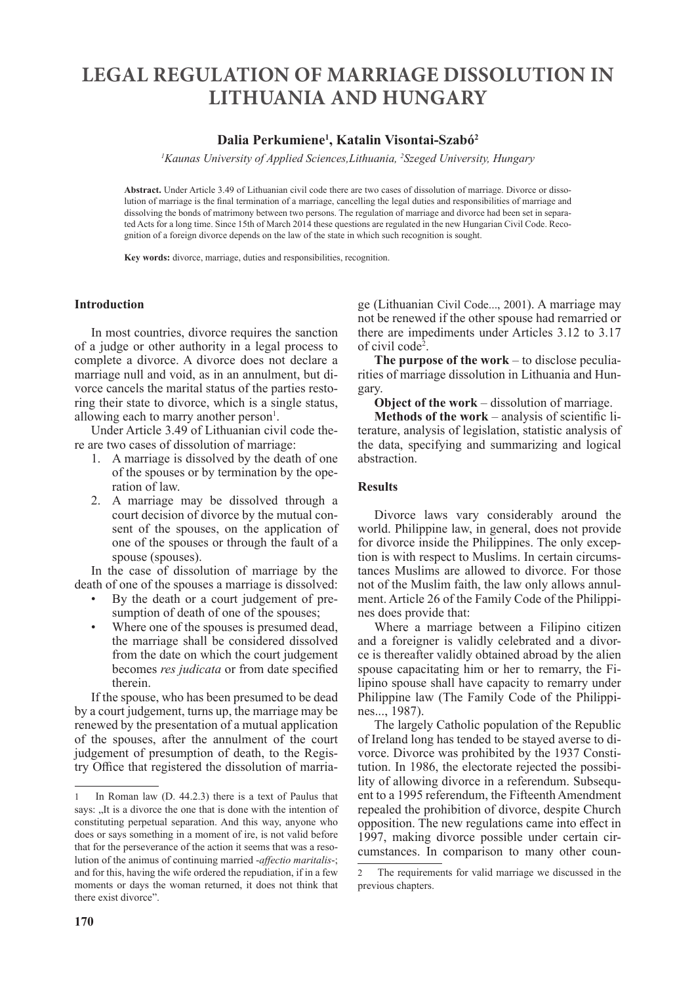# **LEGAL REGULATION OF MARRIAGE DISSOLUTION IN LITHUANIA AND HUNGARY**

# **Dalia Perkumiene<sup>1</sup> , Katalin Visontai-Szabó<sup>2</sup>**

*1 Kaunas University of Applied Sciences,Lithuania, <sup>2</sup> Szeged University, Hungary*

**Abstract.** Under Article 3.49 of Lithuanian civil code there are two cases of dissolution of marriage. Divorce or dissolution of marriage is the final termination of a marriage, cancelling the legal duties and responsibilities of marriage and dissolving the bonds of matrimony between two persons. The regulation of marriage and divorce had been set in separated Acts for a long time. Since 15th of March 2014 these questions are regulated in the new Hungarian Civil Code. Recognition of a foreign divorce depends on the law of the state in which such recognition is sought.

**Key words:** divorce, marriage, duties and responsibilities, recognition.

#### **Introduction**

In most countries, divorce requires the sanction of a judge or other authority in a legal process to complete a divorce. A divorce does not declare a marriage null and void, as in an annulment, but divorce cancels the marital status of the parties restoring their state to divorce, which is a single status, allowing each to marry another person<sup>1</sup>.

Under Article 3.49 of Lithuanian civil code there are two cases of dissolution of marriage:

- 1. A marriage is dissolved by the death of one of the spouses or by termination by the operation of law.
- 2. A marriage may be dissolved through a court decision of divorce by the mutual consent of the spouses, on the application of one of the spouses or through the fault of a spouse (spouses).

In the case of dissolution of marriage by the death of one of the spouses a marriage is dissolved:

- By the death or a court judgement of presumption of death of one of the spouses;
- Where one of the spouses is presumed dead, the marriage shall be considered dissolved from the date on which the court judgement becomes *res judicata* or from date specified therein.

If the spouse, who has been presumed to be dead by a court judgement, turns up, the marriage may be renewed by the presentation of a mutual application of the spouses, after the annulment of the court judgement of presumption of death, to the Registry Office that registered the dissolution of marriage (Lithuanian Civil Code..., 2001). A marriage may not be renewed if the other spouse had remarried or there are impediments under Articles 3.12 to 3.17 of civil code<sup>2</sup> .

**The purpose of the work** – to disclose peculiarities of marriage dissolution in Lithuania and Hungary.

**Object of the work** – dissolution of marriage.

**Methods of the work** – analysis of scientific literature, analysis of legislation, statistic analysis of the data, specifying and summarizing and logical abstraction.

#### **Results**

Divorce laws vary considerably around the world. Philippine law, in general, does not provide for divorce inside the Philippines. The only exception is with respect to Muslims. In certain circumstances Muslims are allowed to divorce. For those not of the Muslim faith, the law only allows annulment. Article 26 of the Family Code of the Philippines does provide that:

Where a marriage between a Filipino citizen and a foreigner is validly celebrated and a divorce is thereafter validly obtained abroad by the alien spouse capacitating him or her to remarry, the Filipino spouse shall have capacity to remarry under Philippine law (The Family Code of the Philippines..., 1987).

The largely Catholic population of the Republic of Ireland long has tended to be stayed averse to divorce. Divorce was prohibited by the 1937 Constitution. In 1986, the electorate rejected the possibility of allowing divorce in a referendum. Subsequent to a 1995 referendum, the Fifteenth Amendment repealed the prohibition of divorce, despite Church opposition. The new regulations came into effect in 1997, making divorce possible under certain circumstances. In comparison to many other coun-

<sup>1</sup> In Roman law (D. 44.2.3) there is a text of Paulus that says: "It is a divorce the one that is done with the intention of constituting perpetual separation. And this way, anyone who does or says something in a moment of ire, is not valid before that for the perseverance of the action it seems that was a resolution of the animus of continuing married -*affectio maritalis*-; and for this, having the wife ordered the repudiation, if in a few moments or days the woman returned, it does not think that there exist divorce".

<sup>2</sup> The requirements for valid marriage we discussed in the previous chapters.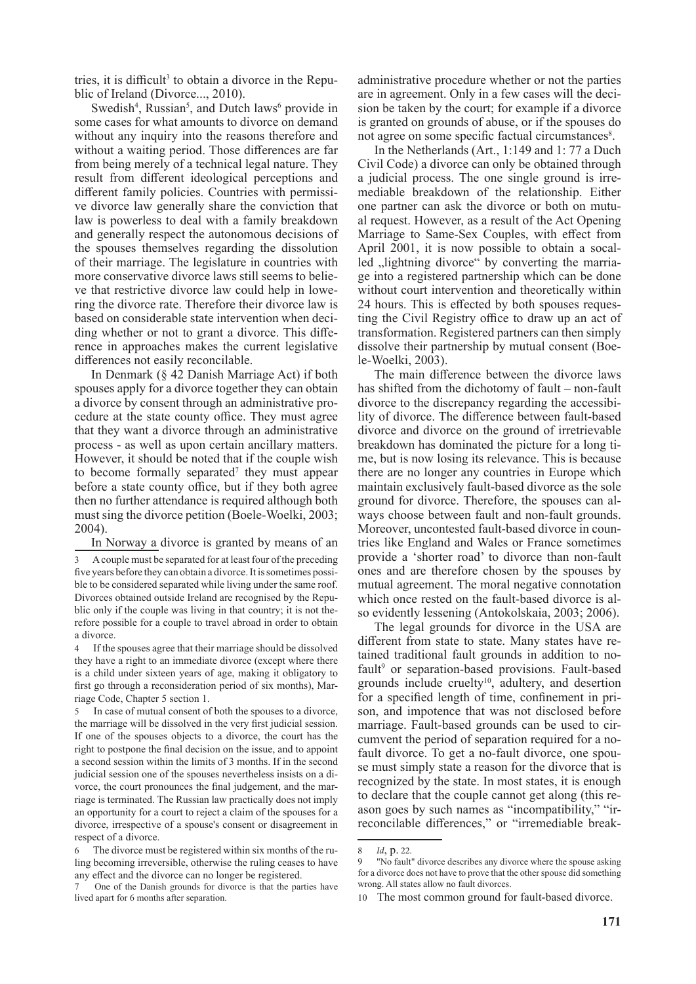tries, it is difficult<sup>3</sup> to obtain a divorce in the Republic of Ireland (Divorce..., 2010).

Swedish<sup>4</sup>, Russian<sup>5</sup>, and Dutch laws<sup>6</sup> provide in some cases for what amounts to divorce on demand without any inquiry into the reasons therefore and without a waiting period. Those differences are far from being merely of a technical legal nature. They result from different ideological perceptions and different family policies. Countries with permissive divorce law generally share the conviction that law is powerless to deal with a family breakdown and generally respect the autonomous decisions of the spouses themselves regarding the dissolution of their marriage. The legislature in countries with more conservative divorce laws still seems to believe that restrictive divorce law could help in lowering the divorce rate. Therefore their divorce law is based on considerable state intervention when deciding whether or not to grant a divorce. This difference in approaches makes the current legislative differences not easily reconcilable.

In Denmark (§ 42 Danish Marriage Act) if both spouses apply for a divorce together they can obtain a divorce by consent through an administrative procedure at the state county office. They must agree that they want a divorce through an administrative process - as well as upon certain ancillary matters. However, it should be noted that if the couple wish to become formally separated<sup>7</sup> they must appear before a state county office, but if they both agree then no further attendance is required although both must sing the divorce petition (Boele-Woelki, 2003; 2004).

In Norway a divorce is granted by means of an

4 If the spouses agree that their marriage should be dissolved they have a right to an immediate divorce (except where there is a child under sixteen years of age, making it obligatory to first go through a reconsideration period of six months), Marriage Code, Chapter 5 section 1.

In case of mutual consent of both the spouses to a divorce, the marriage will be dissolved in the very first judicial session. If one of the spouses objects to a divorce, the court has the right to postpone the final decision on the issue, and to appoint a second session within the limits of 3 months. If in the second judicial session one of the spouses nevertheless insists on a divorce, the court pronounces the final judgement, and the marriage is terminated. The Russian law practically does not imply an opportunity for a court to reject a claim of the spouses for a divorce, irrespective of a spouse's consent or disagreement in respect of a divorce.

administrative procedure whether or not the parties are in agreement. Only in a few cases will the decision be taken by the court; for example if a divorce is granted on grounds of abuse, or if the spouses do not agree on some specific factual circumstances<sup>8</sup>.

In the Netherlands (Art., 1:149 and 1: 77 a Duch Civil Code) a divorce can only be obtained through a judicial process. The one single ground is irremediable breakdown of the relationship. Either one partner can ask the divorce or both on mutual request. However, as a result of the Act Opening Marriage to Same-Sex Couples, with effect from April 2001, it is now possible to obtain a socalled , lightning divorce " by converting the marriage into a registered partnership which can be done without court intervention and theoretically within 24 hours. This is effected by both spouses requesting the Civil Registry office to draw up an act of transformation. Registered partners can then simply dissolve their partnership by mutual consent (Boele-Woelki, 2003).

The main difference between the divorce laws has shifted from the dichotomy of fault – non-fault divorce to the discrepancy regarding the accessibility of divorce. The difference between fault-based divorce and divorce on the ground of irretrievable breakdown has dominated the picture for a long time, but is now losing its relevance. This is because there are no longer any countries in Europe which maintain exclusively fault-based divorce as the sole ground for divorce. Therefore, the spouses can always choose between fault and non-fault grounds. Moreover, uncontested fault-based divorce in countries like England and Wales or France sometimes provide a 'shorter road' to divorce than non-fault ones and are therefore chosen by the spouses by mutual agreement. The moral negative connotation which once rested on the fault-based divorce is also evidently lessening (Antokolskaia, 2003; 2006).

The legal grounds for divorce in the USA are different from state to state. Many states have retained traditional fault grounds in addition to nofault<sup>9</sup> or separation-based provisions. Fault-based grounds include cruelty<sup>10</sup>, adultery, and desertion for a specified length of time, confinement in prison, and impotence that was not disclosed before marriage. Fault-based grounds can be used to circumvent the period of separation required for a nofault divorce. To get a no-fault divorce, one spouse must simply state a reason for the divorce that is recognized by the state. In most states, it is enough to declare that the couple cannot get along (this reason goes by such names as "incompatibility," "irreconcilable differences," or "irremediable break-

<sup>3</sup> A couple must be separated for at least four of the preceding five years before they can obtain a divorce. It is sometimes possible to be considered separated while living under the same roof. Divorces obtained outside Ireland are recognised by the Republic only if the couple was living in that country; it is not therefore possible for a couple to travel abroad in order to obtain a divorce.

The divorce must be registered within six months of the ruling becoming irreversible, otherwise the ruling ceases to have any effect and the divorce can no longer be registered.

One of the Danish grounds for divorce is that the parties have lived apart for 6 months after separation.

<sup>8</sup> *Id*, p. 22.

<sup>&</sup>quot;No fault" divorce describes any divorce where the spouse asking for a divorce does not have to prove that the other spouse did something wrong. All states allow no fault divorces.

<sup>10</sup> The most common ground for fault-based divorce.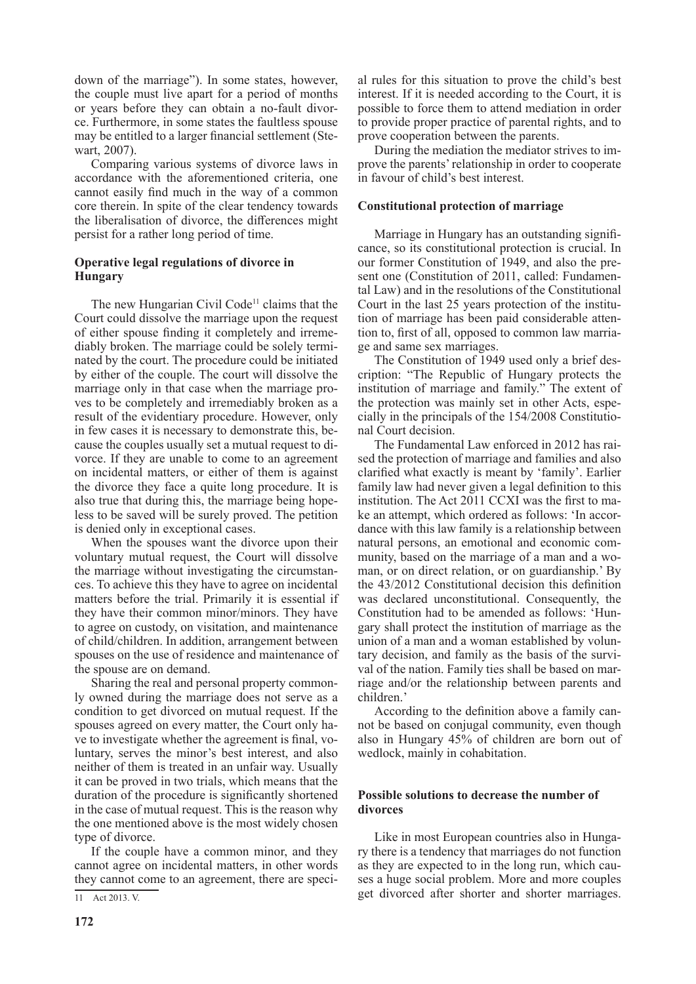down of the marriage"). In some states, however, the couple must live apart for a period of months or years before they can obtain a no-fault divorce. Furthermore, in some states the faultless spouse may be entitled to a larger financial settlement (Stewart, 2007).

Comparing various systems of divorce laws in accordance with the aforementioned criteria, one cannot easily find much in the way of a common core therein. In spite of the clear tendency towards the liberalisation of divorce, the differences might persist for a rather long period of time.

### **Operative legal regulations of divorce in Hungary**

The new Hungarian Civil Code<sup>11</sup> claims that the Court could dissolve the marriage upon the request of either spouse finding it completely and irremediably broken. The marriage could be solely terminated by the court. The procedure could be initiated by either of the couple. The court will dissolve the marriage only in that case when the marriage proves to be completely and irremediably broken as a result of the evidentiary procedure. However, only in few cases it is necessary to demonstrate this, because the couples usually set a mutual request to divorce. If they are unable to come to an agreement on incidental matters, or either of them is against the divorce they face a quite long procedure. It is also true that during this, the marriage being hopeless to be saved will be surely proved. The petition is denied only in exceptional cases.

When the spouses want the divorce upon their voluntary mutual request, the Court will dissolve the marriage without investigating the circumstances. To achieve this they have to agree on incidental matters before the trial. Primarily it is essential if they have their common minor/minors. They have to agree on custody, on visitation, and maintenance of child/children. In addition, arrangement between spouses on the use of residence and maintenance of the spouse are on demand.

Sharing the real and personal property commonly owned during the marriage does not serve as a condition to get divorced on mutual request. If the spouses agreed on every matter, the Court only have to investigate whether the agreement is final, voluntary, serves the minor's best interest, and also neither of them is treated in an unfair way. Usually it can be proved in two trials, which means that the duration of the procedure is significantly shortened in the case of mutual request. This is the reason why the one mentioned above is the most widely chosen type of divorce.

If the couple have a common minor, and they cannot agree on incidental matters, in other words they cannot come to an agreement, there are special rules for this situation to prove the child's best interest. If it is needed according to the Court, it is possible to force them to attend mediation in order to provide proper practice of parental rights, and to prove cooperation between the parents.

During the mediation the mediator strives to improve the parents' relationship in order to cooperate in favour of child's best interest.

### **Constitutional protection of marriage**

Marriage in Hungary has an outstanding significance, so its constitutional protection is crucial. In our former Constitution of 1949, and also the present one (Constitution of 2011, called: Fundamental Law) and in the resolutions of the Constitutional Court in the last 25 years protection of the institution of marriage has been paid considerable attention to, first of all, opposed to common law marriage and same sex marriages.

The Constitution of 1949 used only a brief description: "The Republic of Hungary protects the institution of marriage and family." The extent of the protection was mainly set in other Acts, especially in the principals of the 154/2008 Constitutional Court decision.

The Fundamental Law enforced in 2012 has raised the protection of marriage and families and also clarified what exactly is meant by 'family'. Earlier family law had never given a legal definition to this institution. The Act 2011 CCXI was the first to make an attempt, which ordered as follows: 'In accordance with this law family is a relationship between natural persons, an emotional and economic community, based on the marriage of a man and a woman, or on direct relation, or on guardianship.' By the 43/2012 Constitutional decision this definition was declared unconstitutional. Consequently, the Constitution had to be amended as follows: 'Hungary shall protect the institution of marriage as the union of a man and a woman established by voluntary decision, and family as the basis of the survival of the nation. Family ties shall be based on marriage and/or the relationship between parents and children.'

According to the definition above a family cannot be based on conjugal community, even though also in Hungary 45% of children are born out of wedlock, mainly in cohabitation.

### **Possible solutions to decrease the number of divorces**

Like in most European countries also in Hungary there is a tendency that marriages do not function as they are expected to in the long run, which causes a huge social problem. More and more couples get divorced after shorter and shorter marriages.

<sup>11</sup> Act 2013. V.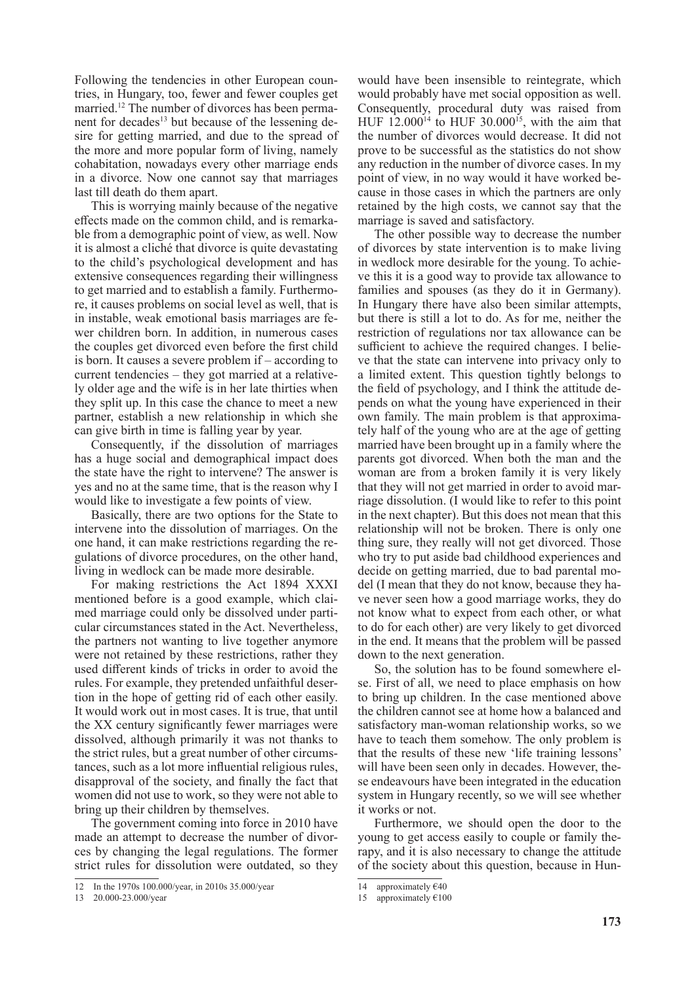Following the tendencies in other European countries, in Hungary, too, fewer and fewer couples get married.12 The number of divorces has been permanent for decades<sup>13</sup> but because of the lessening desire for getting married, and due to the spread of the more and more popular form of living, namely cohabitation, nowadays every other marriage ends in a divorce. Now one cannot say that marriages last till death do them apart.

This is worrying mainly because of the negative effects made on the common child, and is remarkable from a demographic point of view, as well. Now it is almost a cliché that divorce is quite devastating to the child's psychological development and has extensive consequences regarding their willingness to get married and to establish a family. Furthermore, it causes problems on social level as well, that is in instable, weak emotional basis marriages are fewer children born. In addition, in numerous cases the couples get divorced even before the first child is born. It causes a severe problem if – according to current tendencies – they got married at a relatively older age and the wife is in her late thirties when they split up. In this case the chance to meet a new partner, establish a new relationship in which she can give birth in time is falling year by year.

Consequently, if the dissolution of marriages has a huge social and demographical impact does the state have the right to intervene? The answer is yes and no at the same time, that is the reason why I would like to investigate a few points of view.

Basically, there are two options for the State to intervene into the dissolution of marriages. On the one hand, it can make restrictions regarding the regulations of divorce procedures, on the other hand, living in wedlock can be made more desirable.

For making restrictions the Act 1894 XXXI mentioned before is a good example, which claimed marriage could only be dissolved under particular circumstances stated in the Act. Nevertheless, the partners not wanting to live together anymore were not retained by these restrictions, rather they used different kinds of tricks in order to avoid the rules. For example, they pretended unfaithful desertion in the hope of getting rid of each other easily. It would work out in most cases. It is true, that until the XX century significantly fewer marriages were dissolved, although primarily it was not thanks to the strict rules, but a great number of other circumstances, such as a lot more influential religious rules, disapproval of the society, and finally the fact that women did not use to work, so they were not able to bring up their children by themselves.

The government coming into force in 2010 have made an attempt to decrease the number of divorces by changing the legal regulations. The former strict rules for dissolution were outdated, so they

would have been insensible to reintegrate, which would probably have met social opposition as well. Consequently, procedural duty was raised from HUF  $12.000^{14}$  to HUF 30.000<sup>15</sup>, with the aim that the number of divorces would decrease. It did not prove to be successful as the statistics do not show any reduction in the number of divorce cases. In my point of view, in no way would it have worked because in those cases in which the partners are only retained by the high costs, we cannot say that the marriage is saved and satisfactory.

The other possible way to decrease the number of divorces by state intervention is to make living in wedlock more desirable for the young. To achieve this it is a good way to provide tax allowance to families and spouses (as they do it in Germany). In Hungary there have also been similar attempts, but there is still a lot to do. As for me, neither the restriction of regulations nor tax allowance can be sufficient to achieve the required changes. I believe that the state can intervene into privacy only to a limited extent. This question tightly belongs to the field of psychology, and I think the attitude depends on what the young have experienced in their own family. The main problem is that approximately half of the young who are at the age of getting married have been brought up in a family where the parents got divorced. When both the man and the woman are from a broken family it is very likely that they will not get married in order to avoid marriage dissolution. (I would like to refer to this point in the next chapter). But this does not mean that this relationship will not be broken. There is only one thing sure, they really will not get divorced. Those who try to put aside bad childhood experiences and decide on getting married, due to bad parental model (I mean that they do not know, because they have never seen how a good marriage works, they do not know what to expect from each other, or what to do for each other) are very likely to get divorced in the end. It means that the problem will be passed down to the next generation.

So, the solution has to be found somewhere else. First of all, we need to place emphasis on how to bring up children. In the case mentioned above the children cannot see at home how a balanced and satisfactory man-woman relationship works, so we have to teach them somehow. The only problem is that the results of these new 'life training lessons' will have been seen only in decades. However, these endeavours have been integrated in the education system in Hungary recently, so we will see whether it works or not.

Furthermore, we should open the door to the young to get access easily to couple or family therapy, and it is also necessary to change the attitude of the society about this question, because in Hun-

<sup>12</sup> In the 1970s 100.000/year, in 2010s 35.000/year

<sup>13 20.000-23.000/</sup>year

<sup>14</sup> approximately €40

<sup>15</sup> approximately  $€100$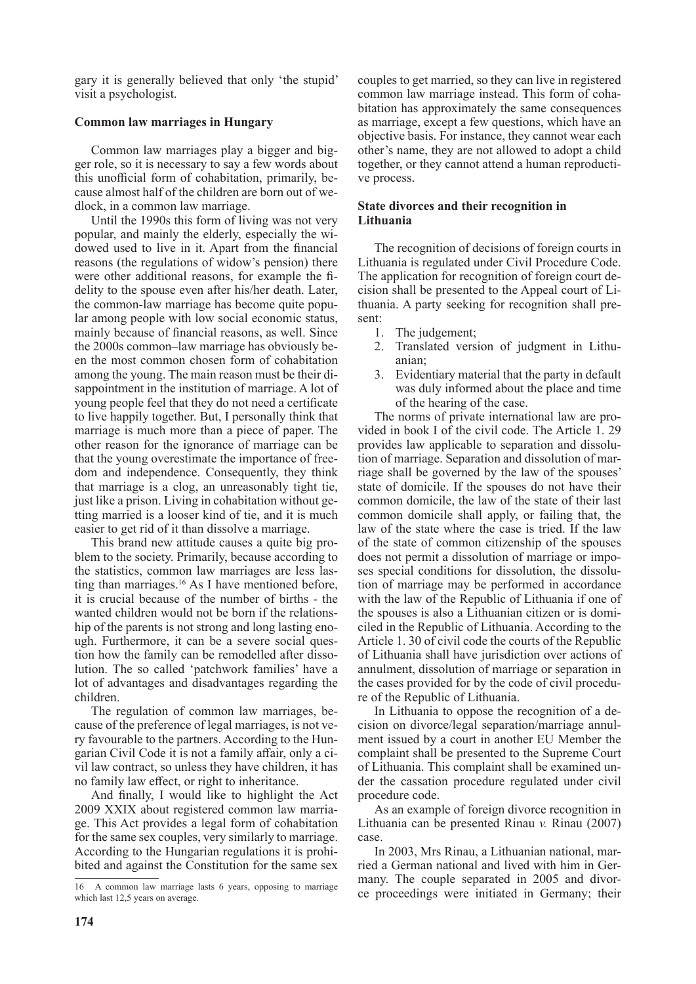gary it is generally believed that only 'the stupid' visit a psychologist.

## **Common law marriages in Hungary**

Common law marriages play a bigger and bigger role, so it is necessary to say a few words about this unofficial form of cohabitation, primarily, because almost half of the children are born out of wedlock, in a common law marriage.

Until the 1990s this form of living was not very popular, and mainly the elderly, especially the widowed used to live in it. Apart from the financial reasons (the regulations of widow's pension) there were other additional reasons, for example the fidelity to the spouse even after his/her death. Later, the common-law marriage has become quite popular among people with low social economic status, mainly because of financial reasons, as well. Since the 2000s common–law marriage has obviously been the most common chosen form of cohabitation among the young. The main reason must be their disappointment in the institution of marriage. A lot of young people feel that they do not need a certificate to live happily together. But, I personally think that marriage is much more than a piece of paper. The other reason for the ignorance of marriage can be that the young overestimate the importance of freedom and independence. Consequently, they think that marriage is a clog, an unreasonably tight tie, just like a prison. Living in cohabitation without getting married is a looser kind of tie, and it is much easier to get rid of it than dissolve a marriage.

This brand new attitude causes a quite big problem to the society. Primarily, because according to the statistics, common law marriages are less lasting than marriages.<sup>16</sup> As I have mentioned before, it is crucial because of the number of births - the wanted children would not be born if the relationship of the parents is not strong and long lasting enough. Furthermore, it can be a severe social question how the family can be remodelled after dissolution. The so called 'patchwork families' have a lot of advantages and disadvantages regarding the children.

The regulation of common law marriages, because of the preference of legal marriages, is not very favourable to the partners. According to the Hungarian Civil Code it is not a family affair, only a civil law contract, so unless they have children, it has no family law effect, or right to inheritance.

And finally, I would like to highlight the Act 2009 XXIX about registered common law marriage. This Act provides a legal form of cohabitation for the same sex couples, very similarly to marriage. According to the Hungarian regulations it is prohibited and against the Constitution for the same sex

couples to get married, so they can live in registered common law marriage instead. This form of cohabitation has approximately the same consequences as marriage, except a few questions, which have an objective basis. For instance, they cannot wear each other's name, they are not allowed to adopt a child together, or they cannot attend a human reproductive process.

### **State divorces and their recognition in Lithuania**

The recognition of decisions of foreign courts in Lithuania is regulated under Civil Procedure Code. The application for recognition of foreign court decision shall be presented to the Appeal court of Lithuania. A party seeking for recognition shall present:

- 1. The judgement;
- 2. Translated version of judgment in Lithuanian;
- 3. Evidentiary material that the party in default was duly informed about the place and time of the hearing of the case.

The norms of private international law are provided in book I of the civil code. The Article 1. 29 provides law applicable to separation and dissolution of marriage. Separation and dissolution of marriage shall be governed by the law of the spouses' state of domicile. If the spouses do not have their common domicile, the law of the state of their last common domicile shall apply, or failing that, the law of the state where the case is tried. If the law of the state of common citizenship of the spouses does not permit a dissolution of marriage or imposes special conditions for dissolution, the dissolution of marriage may be performed in accordance with the law of the Republic of Lithuania if one of the spouses is also a Lithuanian citizen or is domiciled in the Republic of Lithuania. According to the Article 1. 30 of civil code the courts of the Republic of Lithuania shall have jurisdiction over actions of annulment, dissolution of marriage or separation in the cases provided for by the code of civil procedure of the Republic of Lithuania.

In Lithuania to oppose the recognition of a decision on divorce/legal separation/marriage annulment issued by a court in another EU Member the complaint shall be presented to the Supreme Court of Lithuania. This complaint shall be examined under the cassation procedure regulated under civil procedure code.

As an example of foreign divorce recognition in Lithuania can be presented Rinau *v.* Rinau (2007) case.

In 2003, Mrs Rinau, a Lithuanian national, married a German national and lived with him in Germany. The couple separated in 2005 and divorce proceedings were initiated in Germany; their

<sup>16</sup> A common law marriage lasts 6 years, opposing to marriage which last 12,5 years on average.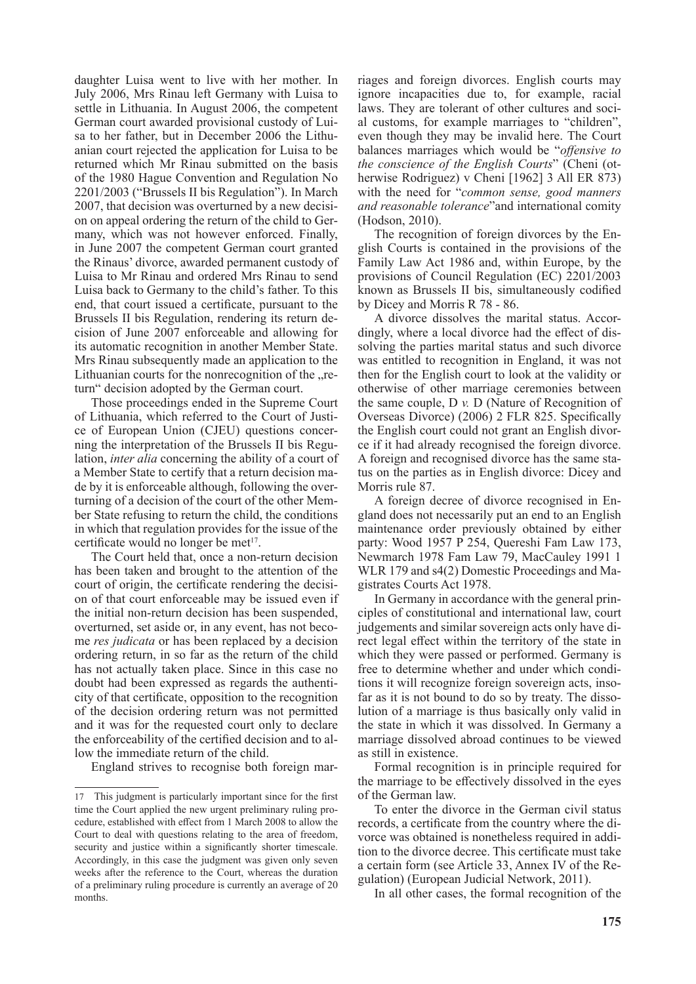daughter Luisa went to live with her mother. In July 2006, Mrs Rinau left Germany with Luisa to settle in Lithuania. In August 2006, the competent German court awarded provisional custody of Luisa to her father, but in December 2006 the Lithuanian court rejected the application for Luisa to be returned which Mr Rinau submitted on the basis of the 1980 Hague Convention and Regulation No 2201/2003 ("Brussels II bis Regulation"). In March 2007, that decision was overturned by a new decision on appeal ordering the return of the child to Germany, which was not however enforced. Finally, in June 2007 the competent German court granted the Rinaus' divorce, awarded permanent custody of Luisa to Mr Rinau and ordered Mrs Rinau to send Luisa back to Germany to the child's father. To this end, that court issued a certificate, pursuant to the Brussels II bis Regulation, rendering its return decision of June 2007 enforceable and allowing for its automatic recognition in another Member State. Mrs Rinau subsequently made an application to the Lithuanian courts for the nonrecognition of the "return" decision adopted by the German court.

Those proceedings ended in the Supreme Court of Lithuania, which referred to the Court of Justice of European Union (CJEU) questions concerning the interpretation of the Brussels II bis Regulation, *inter alia* concerning the ability of a court of a Member State to certify that a return decision made by it is enforceable although, following the overturning of a decision of the court of the other Member State refusing to return the child, the conditions in which that regulation provides for the issue of the certificate would no longer be met<sup>17</sup>.

The Court held that, once a non-return decision has been taken and brought to the attention of the court of origin, the certificate rendering the decision of that court enforceable may be issued even if the initial non-return decision has been suspended, overturned, set aside or, in any event, has not become *res judicata* or has been replaced by a decision ordering return, in so far as the return of the child has not actually taken place. Since in this case no doubt had been expressed as regards the authenticity of that certificate, opposition to the recognition of the decision ordering return was not permitted and it was for the requested court only to declare the enforceability of the certified decision and to allow the immediate return of the child.

England strives to recognise both foreign mar-

riages and foreign divorces. English courts may ignore incapacities due to, for example, racial laws. They are tolerant of other cultures and social customs, for example marriages to "children", even though they may be invalid here. The Court balances marriages which would be "*offensive to the conscience of the English Courts*" (Cheni (otherwise Rodriguez) v Cheni [1962] 3 All ER 873) with the need for "*common sense, good manners and reasonable tolerance*"and international comity (Hodson, 2010).

The recognition of foreign divorces by the English Courts is contained in the provisions of the Family Law Act 1986 and, within Europe, by the provisions of Council Regulation (EC) 2201/2003 known as Brussels II bis, simultaneously codified by Dicey and Morris R 78 - 86.

A divorce dissolves the marital status. Accordingly, where a local divorce had the effect of dissolving the parties marital status and such divorce was entitled to recognition in England, it was not then for the English court to look at the validity or otherwise of other marriage ceremonies between the same couple, D *v.* D (Nature of Recognition of Overseas Divorce) (2006) 2 FLR 825. Specifically the English court could not grant an English divorce if it had already recognised the foreign divorce. A foreign and recognised divorce has the same status on the parties as in English divorce: Dicey and Morris rule 87.

A foreign decree of divorce recognised in England does not necessarily put an end to an English maintenance order previously obtained by either party: Wood 1957 P 254, Quereshi Fam Law 173, Newmarch 1978 Fam Law 79, MacCauley 1991 1 WLR 179 and s4(2) Domestic Proceedings and Magistrates Courts Act 1978.

In Germany in accordance with the general principles of constitutional and international law, court judgements and similar sovereign acts only have direct legal effect within the territory of the state in which they were passed or performed. Germany is free to determine whether and under which conditions it will recognize foreign sovereign acts, insofar as it is not bound to do so by treaty. The dissolution of a marriage is thus basically only valid in the state in which it was dissolved. In Germany a marriage dissolved abroad continues to be viewed as still in existence.

Formal recognition is in principle required for the marriage to be effectively dissolved in the eyes of the German law.

To enter the divorce in the German civil status records, a certificate from the country where the divorce was obtained is nonetheless required in addition to the divorce decree. This certificate must take a certain form (see Article 33, Annex IV of the Regulation) (European Judicial Network, 2011).

In all other cases, the formal recognition of the

<sup>17</sup> This judgment is particularly important since for the first time the Court applied the new urgent preliminary ruling procedure, established with effect from 1 March 2008 to allow the Court to deal with questions relating to the area of freedom, security and justice within a significantly shorter timescale. Accordingly, in this case the judgment was given only seven weeks after the reference to the Court, whereas the duration of a preliminary ruling procedure is currently an average of 20 months.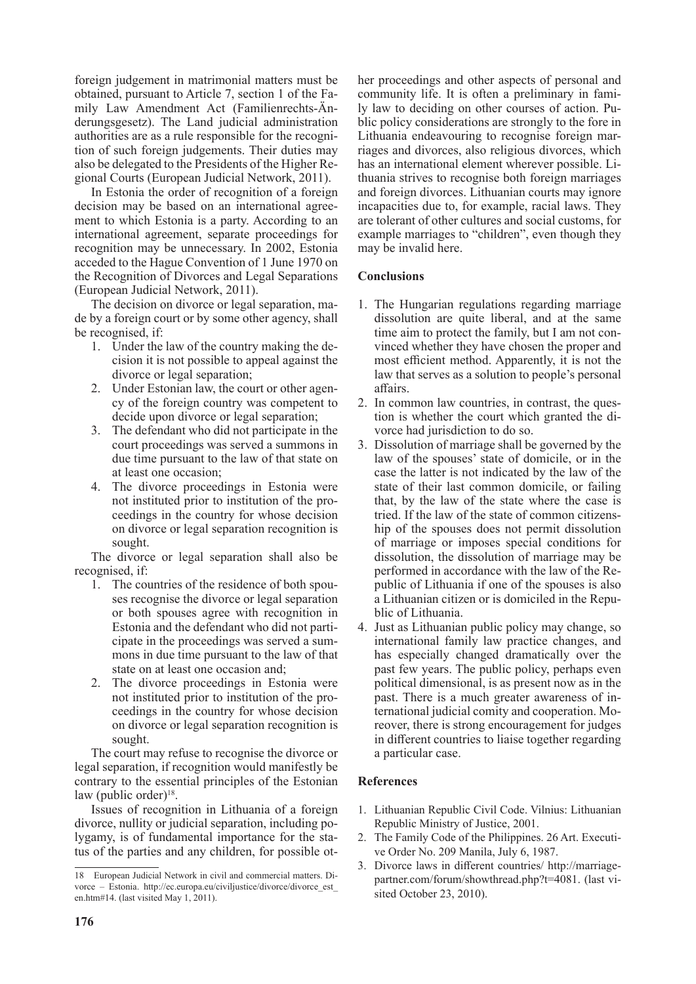foreign judgement in matrimonial matters must be obtained, pursuant to Article 7, section 1 of the Family Law Amendment Act (Familienrechts-Änderungsgesetz). The Land judicial administration authorities are as a rule responsible for the recognition of such foreign judgements. Their duties may also be delegated to the Presidents of the Higher Regional Courts (European Judicial Network, 2011).

In Estonia the order of recognition of a foreign decision may be based on an international agreement to which Estonia is a party. According to an international agreement, separate proceedings for recognition may be unnecessary. In 2002, Estonia acceded to the Hague Convention of 1 June 1970 on the Recognition of Divorces and Legal Separations (European Judicial Network, 2011).

The decision on divorce or legal separation, made by a foreign court or by some other agency, shall be recognised, if:

- 1. Under the law of the country making the decision it is not possible to appeal against the divorce or legal separation;
- 2. Under Estonian law, the court or other agency of the foreign country was competent to decide upon divorce or legal separation;
- 3. The defendant who did not participate in the court proceedings was served a summons in due time pursuant to the law of that state on at least one occasion;
- 4. The divorce proceedings in Estonia were not instituted prior to institution of the proceedings in the country for whose decision on divorce or legal separation recognition is sought.

The divorce or legal separation shall also be recognised, if:

- 1. The countries of the residence of both spouses recognise the divorce or legal separation or both spouses agree with recognition in Estonia and the defendant who did not participate in the proceedings was served a summons in due time pursuant to the law of that state on at least one occasion and;
- 2. The divorce proceedings in Estonia were not instituted prior to institution of the proceedings in the country for whose decision on divorce or legal separation recognition is sought.

The court may refuse to recognise the divorce or legal separation, if recognition would manifestly be contrary to the essential principles of the Estonian law (public order) $18$ .

Issues of recognition in Lithuania of a foreign divorce, nullity or judicial separation, including polygamy, is of fundamental importance for the status of the parties and any children, for possible other proceedings and other aspects of personal and community life. It is often a preliminary in family law to deciding on other courses of action. Public policy considerations are strongly to the fore in Lithuania endeavouring to recognise foreign marriages and divorces, also religious divorces, which has an international element wherever possible. Lithuania strives to recognise both foreign marriages and foreign divorces. Lithuanian courts may ignore incapacities due to, for example, racial laws. They are tolerant of other cultures and social customs, for example marriages to "children", even though they may be invalid here.

# **Conclusions**

- 1. The Hungarian regulations regarding marriage dissolution are quite liberal, and at the same time aim to protect the family, but I am not convinced whether they have chosen the proper and most efficient method. Apparently, it is not the law that serves as a solution to people's personal affairs.
- 2. In common law countries, in contrast, the question is whether the court which granted the divorce had jurisdiction to do so.
- 3. Dissolution of marriage shall be governed by the law of the spouses' state of domicile, or in the case the latter is not indicated by the law of the state of their last common domicile, or failing that, by the law of the state where the case is tried. If the law of the state of common citizenship of the spouses does not permit dissolution of marriage or imposes special conditions for dissolution, the dissolution of marriage may be performed in accordance with the law of the Republic of Lithuania if one of the spouses is also a Lithuanian citizen or is domiciled in the Republic of Lithuania.
- 4. Just as Lithuanian public policy may change, so international family law practice changes, and has especially changed dramatically over the past few years. The public policy, perhaps even political dimensional, is as present now as in the past. There is a much greater awareness of international judicial comity and cooperation. Moreover, there is strong encouragement for judges in different countries to liaise together regarding a particular case.

# **References**

- 1. Lithuanian Republic Civil Code. Vilnius: Lithuanian Republic Ministry of Justice, 2001.
- 2. The Family Code of the Philippines. 26 Art. Executive Order No. 209 Manila, July 6, 1987.
- 3. Divorce laws in different countries/ http://marriagepartner.com/forum/showthread.php?t=4081. (last visited October 23, 2010).

<sup>18</sup> European Judicial Network in civil and commercial matters. Divorce – Estonia. http://ec.europa.eu/civiljustice/divorce/divorce\_est\_ en.htm#14. (last visited May 1, 2011).